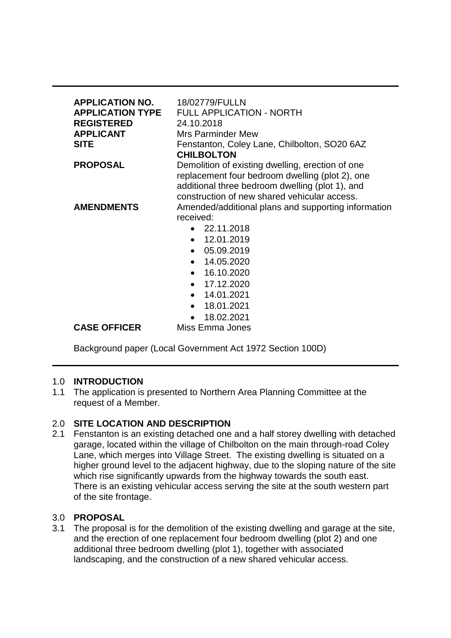| <b>APPLICATION NO.</b><br><b>APPLICATION TYPE</b><br><b>REGISTERED</b><br><b>APPLICANT</b><br><b>SITE</b> | 18/02779/FULLN<br><b>FULL APPLICATION - NORTH</b><br>24.10.2018<br><b>Mrs Parminder Mew</b><br>Fenstanton, Coley Lane, Chilbolton, SO20 6AZ<br><b>CHILBOLTON</b> |
|-----------------------------------------------------------------------------------------------------------|------------------------------------------------------------------------------------------------------------------------------------------------------------------|
| <b>PROPOSAL</b>                                                                                           | Demolition of existing dwelling, erection of one                                                                                                                 |
|                                                                                                           | replacement four bedroom dwelling (plot 2), one                                                                                                                  |
|                                                                                                           | additional three bedroom dwelling (plot 1), and                                                                                                                  |
|                                                                                                           | construction of new shared vehicular access.                                                                                                                     |
| <b>AMENDMENTS</b>                                                                                         | Amended/additional plans and supporting information                                                                                                              |
|                                                                                                           | received:                                                                                                                                                        |
|                                                                                                           | 22.11.2018                                                                                                                                                       |
|                                                                                                           | 12.01.2019<br>$\bullet$                                                                                                                                          |
|                                                                                                           | 05.09.2019<br>$\bullet$                                                                                                                                          |
|                                                                                                           | $\bullet$ 14.05.2020                                                                                                                                             |
|                                                                                                           | $\bullet$ 16.10.2020                                                                                                                                             |
|                                                                                                           | 17.12.2020<br>$\bullet$                                                                                                                                          |
|                                                                                                           | 14.01.2021<br>$\bullet$                                                                                                                                          |
|                                                                                                           | 18.01.2021<br>$\bullet$                                                                                                                                          |
|                                                                                                           | 18.02.2021                                                                                                                                                       |
| <b>CASE OFFICER</b>                                                                                       | Miss Emma Jones                                                                                                                                                  |

Background paper (Local Government Act 1972 Section 100D)

# 1.0 **INTRODUCTION**

1.1 The application is presented to Northern Area Planning Committee at the request of a Member.

# 2.0 **SITE LOCATION AND DESCRIPTION**

2.1 Fenstanton is an existing detached one and a half storey dwelling with detached garage, located within the village of Chilbolton on the main through-road Coley Lane, which merges into Village Street. The existing dwelling is situated on a higher ground level to the adjacent highway, due to the sloping nature of the site which rise significantly upwards from the highway towards the south east. There is an existing vehicular access serving the site at the south western part of the site frontage.

# 3.0 **PROPOSAL**

3.1 The proposal is for the demolition of the existing dwelling and garage at the site, and the erection of one replacement four bedroom dwelling (plot 2) and one additional three bedroom dwelling (plot 1), together with associated landscaping, and the construction of a new shared vehicular access.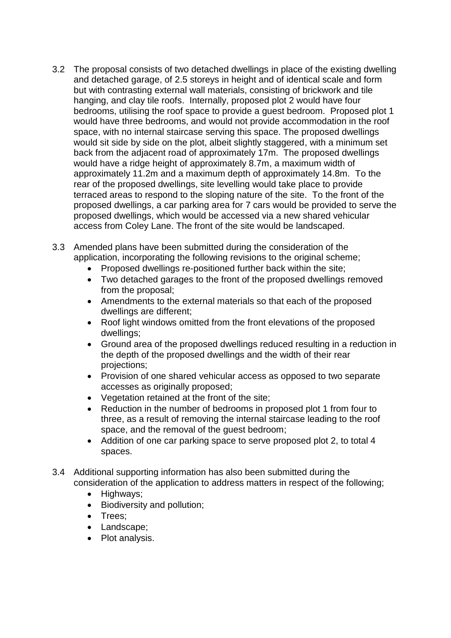- 3.2 The proposal consists of two detached dwellings in place of the existing dwelling and detached garage, of 2.5 storeys in height and of identical scale and form but with contrasting external wall materials, consisting of brickwork and tile hanging, and clay tile roofs. Internally, proposed plot 2 would have four bedrooms, utilising the roof space to provide a guest bedroom. Proposed plot 1 would have three bedrooms, and would not provide accommodation in the roof space, with no internal staircase serving this space. The proposed dwellings would sit side by side on the plot, albeit slightly staggered, with a minimum set back from the adjacent road of approximately 17m. The proposed dwellings would have a ridge height of approximately 8.7m, a maximum width of approximately 11.2m and a maximum depth of approximately 14.8m. To the rear of the proposed dwellings, site levelling would take place to provide terraced areas to respond to the sloping nature of the site. To the front of the proposed dwellings, a car parking area for 7 cars would be provided to serve the proposed dwellings, which would be accessed via a new shared vehicular access from Coley Lane. The front of the site would be landscaped.
- 3.3 Amended plans have been submitted during the consideration of the application, incorporating the following revisions to the original scheme;
	- Proposed dwellings re-positioned further back within the site;
	- Two detached garages to the front of the proposed dwellings removed from the proposal;
	- Amendments to the external materials so that each of the proposed dwellings are different;
	- Roof light windows omitted from the front elevations of the proposed dwellings;
	- Ground area of the proposed dwellings reduced resulting in a reduction in the depth of the proposed dwellings and the width of their rear projections;
	- Provision of one shared vehicular access as opposed to two separate accesses as originally proposed;
	- Vegetation retained at the front of the site:
	- Reduction in the number of bedrooms in proposed plot 1 from four to three, as a result of removing the internal staircase leading to the roof space, and the removal of the guest bedroom;
	- Addition of one car parking space to serve proposed plot 2, to total 4 spaces.
- 3.4 Additional supporting information has also been submitted during the consideration of the application to address matters in respect of the following;
	- Highways;
	- Biodiversity and pollution;
	- Trees:
	- Landscape:
	- Plot analysis.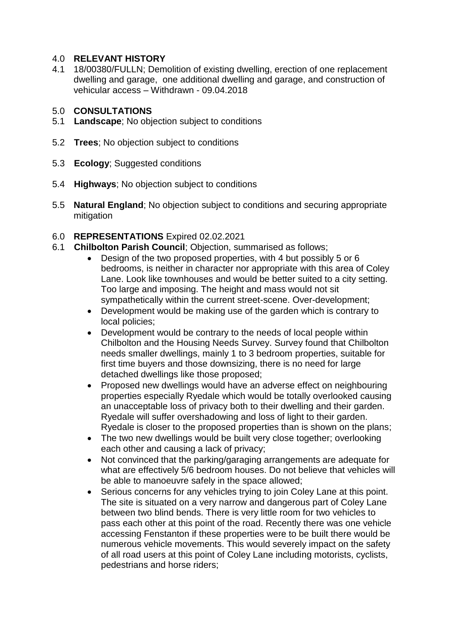## 4.0 **RELEVANT HISTORY**

4.1 18/00380/FULLN; Demolition of existing dwelling, erection of one replacement dwelling and garage, one additional dwelling and garage, and construction of vehicular access – Withdrawn - 09.04.2018

### 5.0 **CONSULTATIONS**

- 5.1 **Landscape**; No objection subject to conditions
- 5.2 **Trees**; No objection subject to conditions
- 5.3 **Ecology**; Suggested conditions
- 5.4 **Highways**; No objection subject to conditions
- 5.5 **Natural England**; No objection subject to conditions and securing appropriate mitigation
- 6.0 **REPRESENTATIONS** Expired 02.02.2021
- 6.1 **Chilbolton Parish Council**; Objection, summarised as follows;
	- Design of the two proposed properties, with 4 but possibly 5 or 6 bedrooms, is neither in character nor appropriate with this area of Coley Lane. Look like townhouses and would be better suited to a city setting. Too large and imposing. The height and mass would not sit sympathetically within the current street-scene. Over-development;
	- Development would be making use of the garden which is contrary to local policies;
	- Development would be contrary to the needs of local people within Chilbolton and the Housing Needs Survey. Survey found that Chilbolton needs smaller dwellings, mainly 1 to 3 bedroom properties, suitable for first time buyers and those downsizing, there is no need for large detached dwellings like those proposed;
	- Proposed new dwellings would have an adverse effect on neighbouring properties especially Ryedale which would be totally overlooked causing an unacceptable loss of privacy both to their dwelling and their garden. Ryedale will suffer overshadowing and loss of light to their garden. Ryedale is closer to the proposed properties than is shown on the plans;
	- The two new dwellings would be built very close together; overlooking each other and causing a lack of privacy;
	- Not convinced that the parking/garaging arrangements are adequate for what are effectively 5/6 bedroom houses. Do not believe that vehicles will be able to manoeuvre safely in the space allowed;
	- Serious concerns for any vehicles trying to join Coley Lane at this point. The site is situated on a very narrow and dangerous part of Coley Lane between two blind bends. There is very little room for two vehicles to pass each other at this point of the road. Recently there was one vehicle accessing Fenstanton if these properties were to be built there would be numerous vehicle movements. This would severely impact on the safety of all road users at this point of Coley Lane including motorists, cyclists, pedestrians and horse riders;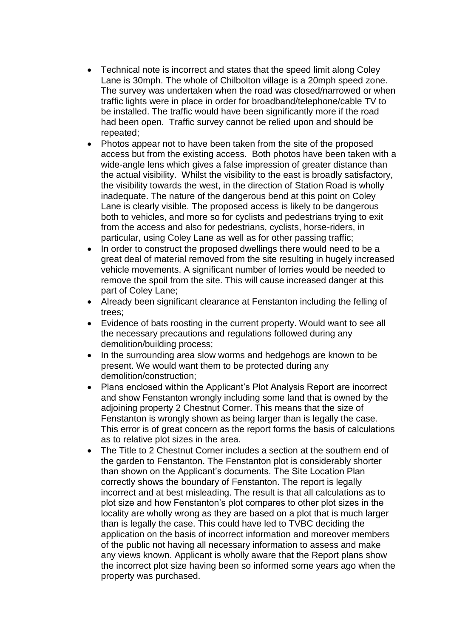- Technical note is incorrect and states that the speed limit along Coley Lane is 30mph. The whole of Chilbolton village is a 20mph speed zone. The survey was undertaken when the road was closed/narrowed or when traffic lights were in place in order for broadband/telephone/cable TV to be installed. The traffic would have been significantly more if the road had been open. Traffic survey cannot be relied upon and should be repeated;
- Photos appear not to have been taken from the site of the proposed access but from the existing access. Both photos have been taken with a wide-angle lens which gives a false impression of greater distance than the actual visibility. Whilst the visibility to the east is broadly satisfactory, the visibility towards the west, in the direction of Station Road is wholly inadequate. The nature of the dangerous bend at this point on Coley Lane is clearly visible. The proposed access is likely to be dangerous both to vehicles, and more so for cyclists and pedestrians trying to exit from the access and also for pedestrians, cyclists, horse-riders, in particular, using Coley Lane as well as for other passing traffic;
- In order to construct the proposed dwellings there would need to be a great deal of material removed from the site resulting in hugely increased vehicle movements. A significant number of lorries would be needed to remove the spoil from the site. This will cause increased danger at this part of Coley Lane;
- Already been significant clearance at Fenstanton including the felling of trees;
- Evidence of bats roosting in the current property. Would want to see all the necessary precautions and regulations followed during any demolition/building process;
- In the surrounding area slow worms and hedgehogs are known to be present. We would want them to be protected during any demolition/construction;
- Plans enclosed within the Applicant's Plot Analysis Report are incorrect and show Fenstanton wrongly including some land that is owned by the adjoining property 2 Chestnut Corner. This means that the size of Fenstanton is wrongly shown as being larger than is legally the case. This error is of great concern as the report forms the basis of calculations as to relative plot sizes in the area.
- The Title to 2 Chestnut Corner includes a section at the southern end of the garden to Fenstanton. The Fenstanton plot is considerably shorter than shown on the Applicant's documents. The Site Location Plan correctly shows the boundary of Fenstanton. The report is legally incorrect and at best misleading. The result is that all calculations as to plot size and how Fenstanton's plot compares to other plot sizes in the locality are wholly wrong as they are based on a plot that is much larger than is legally the case. This could have led to TVBC deciding the application on the basis of incorrect information and moreover members of the public not having all necessary information to assess and make any views known. Applicant is wholly aware that the Report plans show the incorrect plot size having been so informed some years ago when the property was purchased.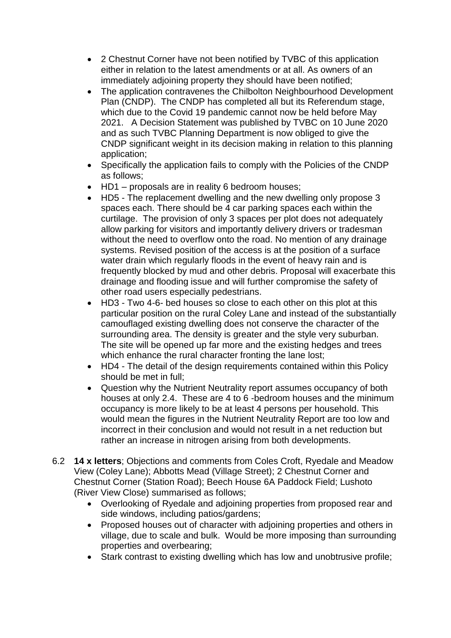- 2 Chestnut Corner have not been notified by TVBC of this application either in relation to the latest amendments or at all. As owners of an immediately adjoining property they should have been notified;
- The application contravenes the Chilbolton Neighbourhood Development Plan (CNDP). The CNDP has completed all but its Referendum stage, which due to the Covid 19 pandemic cannot now be held before May 2021. A Decision Statement was published by TVBC on 10 June 2020 and as such TVBC Planning Department is now obliged to give the CNDP significant weight in its decision making in relation to this planning application;
- Specifically the application fails to comply with the Policies of the CNDP as follows;
- HD1 proposals are in reality 6 bedroom houses;
- HD5 The replacement dwelling and the new dwelling only propose 3 spaces each. There should be 4 car parking spaces each within the curtilage. The provision of only 3 spaces per plot does not adequately allow parking for visitors and importantly delivery drivers or tradesman without the need to overflow onto the road. No mention of any drainage systems. Revised position of the access is at the position of a surface water drain which regularly floods in the event of heavy rain and is frequently blocked by mud and other debris. Proposal will exacerbate this drainage and flooding issue and will further compromise the safety of other road users especially pedestrians.
- HD3 Two 4-6- bed houses so close to each other on this plot at this particular position on the rural Coley Lane and instead of the substantially camouflaged existing dwelling does not conserve the character of the surrounding area. The density is greater and the style very suburban. The site will be opened up far more and the existing hedges and trees which enhance the rural character fronting the lane lost;
- HD4 The detail of the design requirements contained within this Policy should be met in full;
- Question why the Nutrient Neutrality report assumes occupancy of both houses at only 2.4. These are 4 to 6 -bedroom houses and the minimum occupancy is more likely to be at least 4 persons per household. This would mean the figures in the Nutrient Neutrality Report are too low and incorrect in their conclusion and would not result in a net reduction but rather an increase in nitrogen arising from both developments.
- 6.2 **14 x letters**; Objections and comments from Coles Croft, Ryedale and Meadow View (Coley Lane); Abbotts Mead (Village Street); 2 Chestnut Corner and Chestnut Corner (Station Road); Beech House 6A Paddock Field; Lushoto (River View Close) summarised as follows;
	- Overlooking of Ryedale and adjoining properties from proposed rear and side windows, including patios/gardens;
	- Proposed houses out of character with adjoining properties and others in village, due to scale and bulk. Would be more imposing than surrounding properties and overbearing;
	- Stark contrast to existing dwelling which has low and unobtrusive profile;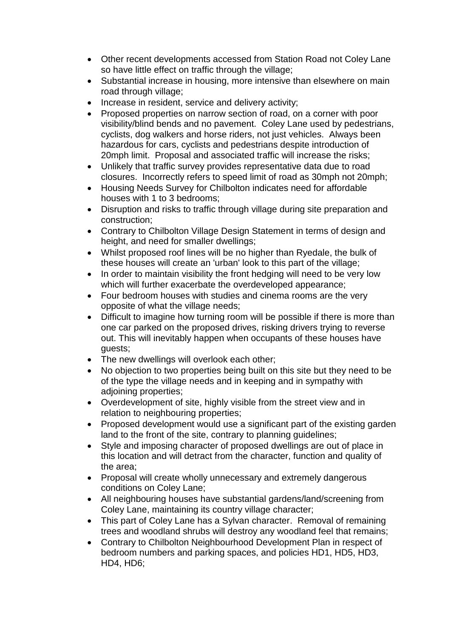- Other recent developments accessed from Station Road not Coley Lane so have little effect on traffic through the village;
- Substantial increase in housing, more intensive than elsewhere on main road through village;
- Increase in resident, service and delivery activity;
- Proposed properties on narrow section of road, on a corner with poor visibility/blind bends and no pavement. Coley Lane used by pedestrians, cyclists, dog walkers and horse riders, not just vehicles. Always been hazardous for cars, cyclists and pedestrians despite introduction of 20mph limit. Proposal and associated traffic will increase the risks;
- Unlikely that traffic survey provides representative data due to road closures. Incorrectly refers to speed limit of road as 30mph not 20mph;
- Housing Needs Survey for Chilbolton indicates need for affordable houses with 1 to 3 bedrooms;
- Disruption and risks to traffic through village during site preparation and construction;
- Contrary to Chilbolton Village Design Statement in terms of design and height, and need for smaller dwellings;
- Whilst proposed roof lines will be no higher than Ryedale, the bulk of these houses will create an 'urban' look to this part of the village;
- In order to maintain visibility the front hedging will need to be very low which will further exacerbate the overdeveloped appearance;
- Four bedroom houses with studies and cinema rooms are the very opposite of what the village needs;
- Difficult to imagine how turning room will be possible if there is more than one car parked on the proposed drives, risking drivers trying to reverse out. This will inevitably happen when occupants of these houses have guests;
- The new dwellings will overlook each other;
- No objection to two properties being built on this site but they need to be of the type the village needs and in keeping and in sympathy with adjoining properties;
- Overdevelopment of site, highly visible from the street view and in relation to neighbouring properties;
- Proposed development would use a significant part of the existing garden land to the front of the site, contrary to planning guidelines;
- Style and imposing character of proposed dwellings are out of place in this location and will detract from the character, function and quality of the area;
- Proposal will create wholly unnecessary and extremely dangerous conditions on Coley Lane;
- All neighbouring houses have substantial gardens/land/screening from Coley Lane, maintaining its country village character;
- This part of Coley Lane has a Sylvan character. Removal of remaining trees and woodland shrubs will destroy any woodland feel that remains;
- Contrary to Chilbolton Neighbourhood Development Plan in respect of bedroom numbers and parking spaces, and policies HD1, HD5, HD3, HD4, HD6;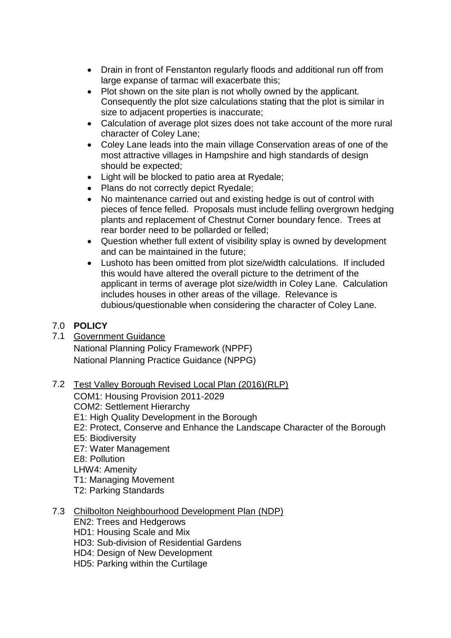- Drain in front of Fenstanton regularly floods and additional run off from large expanse of tarmac will exacerbate this;
- Plot shown on the site plan is not wholly owned by the applicant. Consequently the plot size calculations stating that the plot is similar in size to adjacent properties is inaccurate;
- Calculation of average plot sizes does not take account of the more rural character of Coley Lane;
- Coley Lane leads into the main village Conservation areas of one of the most attractive villages in Hampshire and high standards of design should be expected;
- Light will be blocked to patio area at Ryedale;
- Plans do not correctly depict Ryedale;
- No maintenance carried out and existing hedge is out of control with pieces of fence felled. Proposals must include felling overgrown hedging plants and replacement of Chestnut Corner boundary fence. Trees at rear border need to be pollarded or felled;
- Question whether full extent of visibility splay is owned by development and can be maintained in the future;
- Lushoto has been omitted from plot size/width calculations. If included this would have altered the overall picture to the detriment of the applicant in terms of average plot size/width in Coley Lane. Calculation includes houses in other areas of the village. Relevance is dubious/questionable when considering the character of Coley Lane.

## 7.0 **POLICY**

7.1 Government Guidance

National Planning Policy Framework (NPPF) National Planning Practice Guidance (NPPG)

- 7.2 Test Valley Borough Revised Local Plan (2016)(RLP)
	- COM1: Housing Provision 2011-2029
	- COM2: Settlement Hierarchy
	- E1: High Quality Development in the Borough
	- E2: Protect, Conserve and Enhance the Landscape Character of the Borough
	- E5: Biodiversity
	- E7: Water Management
	- E8: Pollution
	- LHW4: Amenity
	- T1: Managing Movement
	- T2: Parking Standards

## 7.3 Chilbolton Neighbourhood Development Plan (NDP)

- EN2: Trees and Hedgerows
- HD1: Housing Scale and Mix
- HD3: Sub-division of Residential Gardens
- HD4: Design of New Development
- HD5: Parking within the Curtilage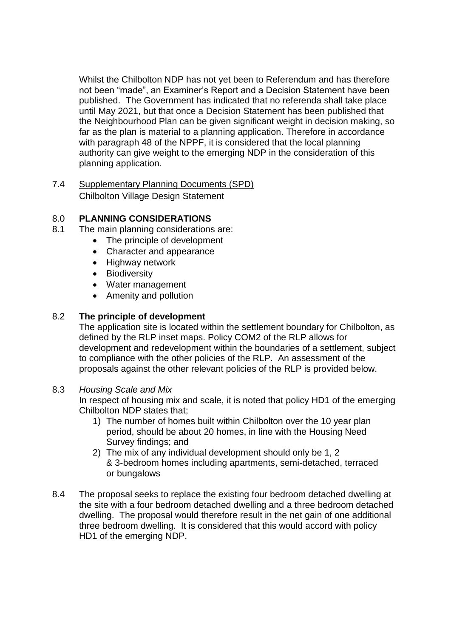Whilst the Chilbolton NDP has not yet been to Referendum and has therefore not been "made", an Examiner's Report and a Decision Statement have been published. The Government has indicated that no referenda shall take place until May 2021, but that once a Decision Statement has been published that the Neighbourhood Plan can be given significant weight in decision making, so far as the plan is material to a planning application. Therefore in accordance with paragraph 48 of the NPPF, it is considered that the local planning authority can give weight to the emerging NDP in the consideration of this planning application.

7.4 Supplementary Planning Documents (SPD) Chilbolton Village Design Statement

## 8.0 **PLANNING CONSIDERATIONS**

- 8.1 The main planning considerations are:
	- The principle of development
	- Character and appearance
	- Highway network
	- **•** Biodiversity
	- Water management
	- Amenity and pollution

## 8.2 **The principle of development**

The application site is located within the settlement boundary for Chilbolton, as defined by the RLP inset maps. Policy COM2 of the RLP allows for development and redevelopment within the boundaries of a settlement, subject to compliance with the other policies of the RLP. An assessment of the proposals against the other relevant policies of the RLP is provided below.

### 8.3 *Housing Scale and Mix*

In respect of housing mix and scale, it is noted that policy HD1 of the emerging Chilbolton NDP states that;

- 1) The number of homes built within Chilbolton over the 10 year plan period, should be about 20 homes, in line with the Housing Need Survey findings; and
- 2) The mix of any individual development should only be 1, 2 & 3-bedroom homes including apartments, semi-detached, terraced or bungalows
- 8.4 The proposal seeks to replace the existing four bedroom detached dwelling at the site with a four bedroom detached dwelling and a three bedroom detached dwelling. The proposal would therefore result in the net gain of one additional three bedroom dwelling. It is considered that this would accord with policy HD1 of the emerging NDP.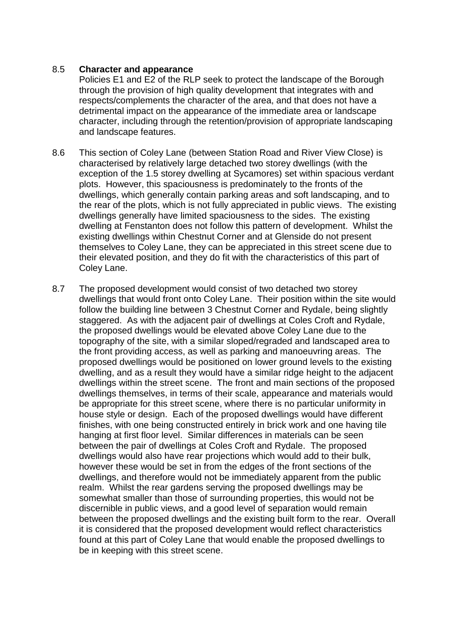### 8.5 **Character and appearance**

Policies E1 and E2 of the RLP seek to protect the landscape of the Borough through the provision of high quality development that integrates with and respects/complements the character of the area, and that does not have a detrimental impact on the appearance of the immediate area or landscape character, including through the retention/provision of appropriate landscaping and landscape features.

- 8.6 This section of Coley Lane (between Station Road and River View Close) is characterised by relatively large detached two storey dwellings (with the exception of the 1.5 storey dwelling at Sycamores) set within spacious verdant plots. However, this spaciousness is predominately to the fronts of the dwellings, which generally contain parking areas and soft landscaping, and to the rear of the plots, which is not fully appreciated in public views. The existing dwellings generally have limited spaciousness to the sides. The existing dwelling at Fenstanton does not follow this pattern of development. Whilst the existing dwellings within Chestnut Corner and at Glenside do not present themselves to Coley Lane, they can be appreciated in this street scene due to their elevated position, and they do fit with the characteristics of this part of Coley Lane.
- 8.7 The proposed development would consist of two detached two storey dwellings that would front onto Coley Lane. Their position within the site would follow the building line between 3 Chestnut Corner and Rydale, being slightly staggered. As with the adjacent pair of dwellings at Coles Croft and Rydale, the proposed dwellings would be elevated above Coley Lane due to the topography of the site, with a similar sloped/regraded and landscaped area to the front providing access, as well as parking and manoeuvring areas. The proposed dwellings would be positioned on lower ground levels to the existing dwelling, and as a result they would have a similar ridge height to the adjacent dwellings within the street scene. The front and main sections of the proposed dwellings themselves, in terms of their scale, appearance and materials would be appropriate for this street scene, where there is no particular uniformity in house style or design. Each of the proposed dwellings would have different finishes, with one being constructed entirely in brick work and one having tile hanging at first floor level. Similar differences in materials can be seen between the pair of dwellings at Coles Croft and Rydale. The proposed dwellings would also have rear projections which would add to their bulk, however these would be set in from the edges of the front sections of the dwellings, and therefore would not be immediately apparent from the public realm. Whilst the rear gardens serving the proposed dwellings may be somewhat smaller than those of surrounding properties, this would not be discernible in public views, and a good level of separation would remain between the proposed dwellings and the existing built form to the rear. Overall it is considered that the proposed development would reflect characteristics found at this part of Coley Lane that would enable the proposed dwellings to be in keeping with this street scene.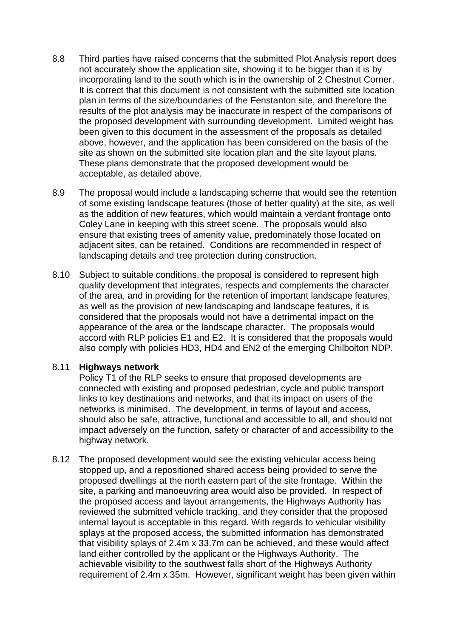- 8.8 Third parties have raised concerns that the submitted Plot Analysis report does not accurately show the application site, showing it to be bigger than it is by incorporating land to the south which is in the ownership of 2 Chestnut Corner. It is correct that this document is not consistent with the submitted site location plan in terms of the size/boundaries of the Fenstanton site, and therefore the results of the plot analysis may be inaccurate in respect of the comparisons of the proposed development with surrounding development. Limited weight has been given to this document in the assessment of the proposals as detailed above, however, and the application has been considered on the basis of the site as shown on the submitted site location plan and the site layout plans. These plans demonstrate that the proposed development would be acceptable, as detailed above.
- 8.9 The proposal would include a landscaping scheme that would see the retention of some existing landscape features (those of better quality) at the site, as well as the addition of new features, which would maintain a verdant frontage onto Coley Lane in keeping with this street scene. The proposals would also ensure that existing trees of amenity value, predominately those located on adjacent sites, can be retained. Conditions are recommended in respect of landscaping details and tree protection during construction.
- 8.10 Subject to suitable conditions, the proposal is considered to represent high quality development that integrates, respects and complements the character of the area, and in providing for the retention of important landscape features, as well as the provision of new landscaping and landscape features, it is considered that the proposals would not have a detrimental impact on the appearance of the area or the landscape character. The proposals would accord with RLP policies E1 and E2. It is considered that the proposals would also comply with policies HD3, HD4 and EN2 of the emerging Chilbolton NDP.

### 8.11 **Highways network**

Policy T1 of the RLP seeks to ensure that proposed developments are connected with existing and proposed pedestrian, cycle and public transport links to key destinations and networks, and that its impact on users of the networks is minimised. The development, in terms of layout and access, should also be safe, attractive, functional and accessible to all, and should not impact adversely on the function, safety or character of and accessibility to the highway network.

8.12 The proposed development would see the existing vehicular access being stopped up, and a repositioned shared access being provided to serve the proposed dwellings at the north eastern part of the site frontage. Within the site, a parking and manoeuvring area would also be provided. In respect of the proposed access and layout arrangements, the Highways Authority has reviewed the submitted vehicle tracking, and they consider that the proposed internal layout is acceptable in this regard. With regards to vehicular visibility splays at the proposed access, the submitted information has demonstrated that visibility splays of 2.4m x 33.7m can be achieved, and these would affect land either controlled by the applicant or the Highways Authority. The achievable visibility to the southwest falls short of the Highways Authority requirement of 2.4m x 35m. However, significant weight has been given within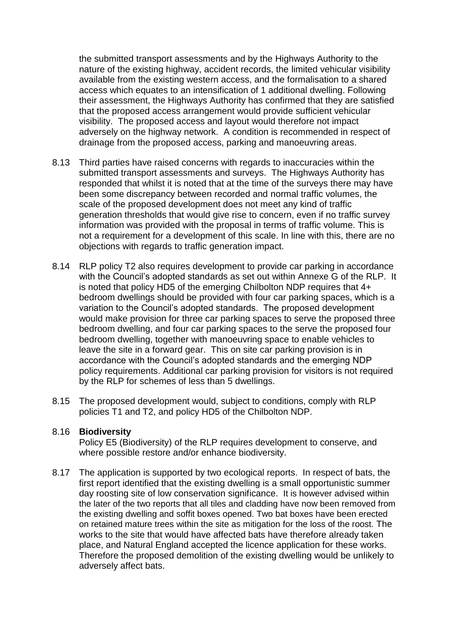the submitted transport assessments and by the Highways Authority to the nature of the existing highway, accident records, the limited vehicular visibility available from the existing western access, and the formalisation to a shared access which equates to an intensification of 1 additional dwelling. Following their assessment, the Highways Authority has confirmed that they are satisfied that the proposed access arrangement would provide sufficient vehicular visibility. The proposed access and layout would therefore not impact adversely on the highway network. A condition is recommended in respect of drainage from the proposed access, parking and manoeuvring areas.

- 8.13 Third parties have raised concerns with regards to inaccuracies within the submitted transport assessments and surveys. The Highways Authority has responded that whilst it is noted that at the time of the surveys there may have been some discrepancy between recorded and normal traffic volumes, the scale of the proposed development does not meet any kind of traffic generation thresholds that would give rise to concern, even if no traffic survey information was provided with the proposal in terms of traffic volume. This is not a requirement for a development of this scale. In line with this, there are no objections with regards to traffic generation impact.
- 8.14 RLP policy T2 also requires development to provide car parking in accordance with the Council's adopted standards as set out within Annexe G of the RLP. It is noted that policy HD5 of the emerging Chilbolton NDP requires that 4+ bedroom dwellings should be provided with four car parking spaces, which is a variation to the Council's adopted standards. The proposed development would make provision for three car parking spaces to serve the proposed three bedroom dwelling, and four car parking spaces to the serve the proposed four bedroom dwelling, together with manoeuvring space to enable vehicles to leave the site in a forward gear. This on site car parking provision is in accordance with the Council's adopted standards and the emerging NDP policy requirements. Additional car parking provision for visitors is not required by the RLP for schemes of less than 5 dwellings.
- 8.15 The proposed development would, subject to conditions, comply with RLP policies T1 and T2, and policy HD5 of the Chilbolton NDP.

#### 8.16 **Biodiversity**

Policy E5 (Biodiversity) of the RLP requires development to conserve, and where possible restore and/or enhance biodiversity.

8.17 The application is supported by two ecological reports. In respect of bats, the first report identified that the existing dwelling is a small opportunistic summer day roosting site of low conservation significance. It is however advised within the later of the two reports that all tiles and cladding have now been removed from the existing dwelling and soffit boxes opened. Two bat boxes have been erected on retained mature trees within the site as mitigation for the loss of the roost. The works to the site that would have affected bats have therefore already taken place, and Natural England accepted the licence application for these works. Therefore the proposed demolition of the existing dwelling would be unlikely to adversely affect bats.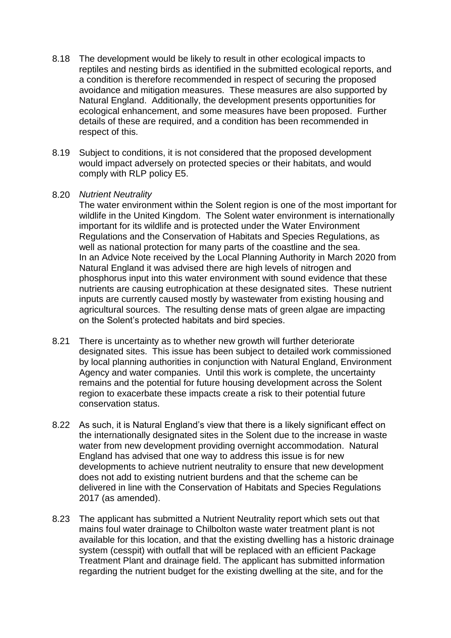- 8.18 The development would be likely to result in other ecological impacts to reptiles and nesting birds as identified in the submitted ecological reports, and a condition is therefore recommended in respect of securing the proposed avoidance and mitigation measures. These measures are also supported by Natural England. Additionally, the development presents opportunities for ecological enhancement, and some measures have been proposed. Further details of these are required, and a condition has been recommended in respect of this.
- 8.19 Subject to conditions, it is not considered that the proposed development would impact adversely on protected species or their habitats, and would comply with RLP policy E5.
- 8.20 *Nutrient Neutrality*

The water environment within the Solent region is one of the most important for wildlife in the United Kingdom. The Solent water environment is internationally important for its wildlife and is protected under the Water Environment Regulations and the Conservation of Habitats and Species Regulations, as well as national protection for many parts of the coastline and the sea. In an Advice Note received by the Local Planning Authority in March 2020 from Natural England it was advised there are high levels of nitrogen and phosphorus input into this water environment with sound evidence that these nutrients are causing eutrophication at these designated sites. These nutrient inputs are currently caused mostly by wastewater from existing housing and agricultural sources. The resulting dense mats of green algae are impacting on the Solent's protected habitats and bird species.

- 8.21 There is uncertainty as to whether new growth will further deteriorate designated sites. This issue has been subject to detailed work commissioned by local planning authorities in conjunction with Natural England, Environment Agency and water companies. Until this work is complete, the uncertainty remains and the potential for future housing development across the Solent region to exacerbate these impacts create a risk to their potential future conservation status.
- 8.22 As such, it is Natural England's view that there is a likely significant effect on the internationally designated sites in the Solent due to the increase in waste water from new development providing overnight accommodation. Natural England has advised that one way to address this issue is for new developments to achieve nutrient neutrality to ensure that new development does not add to existing nutrient burdens and that the scheme can be delivered in line with the Conservation of Habitats and Species Regulations 2017 (as amended).
- 8.23 The applicant has submitted a Nutrient Neutrality report which sets out that mains foul water drainage to Chilbolton waste water treatment plant is not available for this location, and that the existing dwelling has a historic drainage system (cesspit) with outfall that will be replaced with an efficient Package Treatment Plant and drainage field. The applicant has submitted information regarding the nutrient budget for the existing dwelling at the site, and for the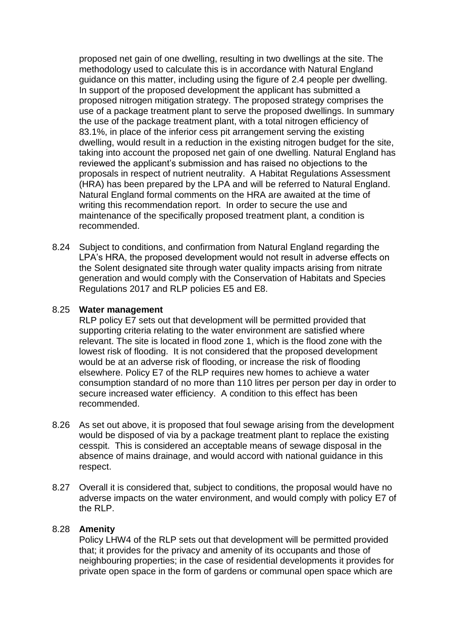proposed net gain of one dwelling, resulting in two dwellings at the site. The methodology used to calculate this is in accordance with Natural England guidance on this matter, including using the figure of 2.4 people per dwelling. In support of the proposed development the applicant has submitted a proposed nitrogen mitigation strategy. The proposed strategy comprises the use of a package treatment plant to serve the proposed dwellings. In summary the use of the package treatment plant, with a total nitrogen efficiency of 83.1%, in place of the inferior cess pit arrangement serving the existing dwelling, would result in a reduction in the existing nitrogen budget for the site, taking into account the proposed net gain of one dwelling. Natural England has reviewed the applicant's submission and has raised no objections to the proposals in respect of nutrient neutrality. A Habitat Regulations Assessment (HRA) has been prepared by the LPA and will be referred to Natural England. Natural England formal comments on the HRA are awaited at the time of writing this recommendation report. In order to secure the use and maintenance of the specifically proposed treatment plant, a condition is recommended.

8.24 Subject to conditions, and confirmation from Natural England regarding the LPA's HRA, the proposed development would not result in adverse effects on the Solent designated site through water quality impacts arising from nitrate generation and would comply with the Conservation of Habitats and Species Regulations 2017 and RLP policies E5 and E8.

### 8.25 **Water management**

RLP policy E7 sets out that development will be permitted provided that supporting criteria relating to the water environment are satisfied where relevant. The site is located in flood zone 1, which is the flood zone with the lowest risk of flooding. It is not considered that the proposed development would be at an adverse risk of flooding, or increase the risk of flooding elsewhere. Policy E7 of the RLP requires new homes to achieve a water consumption standard of no more than 110 litres per person per day in order to secure increased water efficiency. A condition to this effect has been recommended.

- 8.26 As set out above, it is proposed that foul sewage arising from the development would be disposed of via by a package treatment plant to replace the existing cesspit. This is considered an acceptable means of sewage disposal in the absence of mains drainage, and would accord with national guidance in this respect.
- 8.27 Overall it is considered that, subject to conditions, the proposal would have no adverse impacts on the water environment, and would comply with policy E7 of the RLP.

### 8.28 **Amenity**

Policy LHW4 of the RLP sets out that development will be permitted provided that; it provides for the privacy and amenity of its occupants and those of neighbouring properties; in the case of residential developments it provides for private open space in the form of gardens or communal open space which are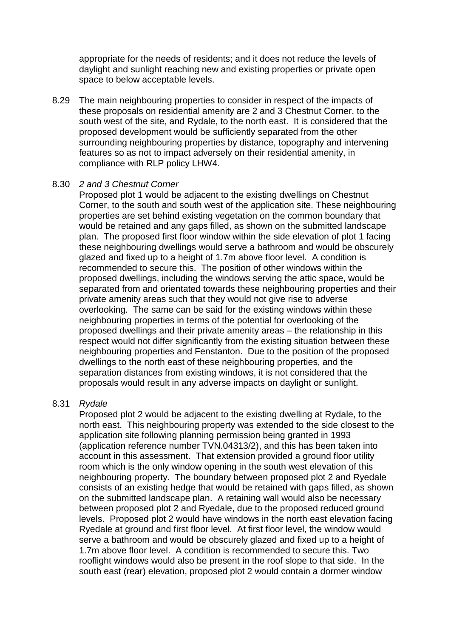appropriate for the needs of residents; and it does not reduce the levels of daylight and sunlight reaching new and existing properties or private open space to below acceptable levels.

8.29 The main neighbouring properties to consider in respect of the impacts of these proposals on residential amenity are 2 and 3 Chestnut Corner, to the south west of the site, and Rydale, to the north east. It is considered that the proposed development would be sufficiently separated from the other surrounding neighbouring properties by distance, topography and intervening features so as not to impact adversely on their residential amenity, in compliance with RLP policy LHW4.

#### 8.30 *2 and 3 Chestnut Corner*

Proposed plot 1 would be adjacent to the existing dwellings on Chestnut Corner, to the south and south west of the application site. These neighbouring properties are set behind existing vegetation on the common boundary that would be retained and any gaps filled, as shown on the submitted landscape plan. The proposed first floor window within the side elevation of plot 1 facing these neighbouring dwellings would serve a bathroom and would be obscurely glazed and fixed up to a height of 1.7m above floor level. A condition is recommended to secure this. The position of other windows within the proposed dwellings, including the windows serving the attic space, would be separated from and orientated towards these neighbouring properties and their private amenity areas such that they would not give rise to adverse overlooking. The same can be said for the existing windows within these neighbouring properties in terms of the potential for overlooking of the proposed dwellings and their private amenity areas – the relationship in this respect would not differ significantly from the existing situation between these neighbouring properties and Fenstanton. Due to the position of the proposed dwellings to the north east of these neighbouring properties, and the separation distances from existing windows, it is not considered that the proposals would result in any adverse impacts on daylight or sunlight.

### 8.31 *Rydale*

Proposed plot 2 would be adjacent to the existing dwelling at Rydale, to the north east. This neighbouring property was extended to the side closest to the application site following planning permission being granted in 1993 (application reference number TVN.04313/2), and this has been taken into account in this assessment. That extension provided a ground floor utility room which is the only window opening in the south west elevation of this neighbouring property. The boundary between proposed plot 2 and Ryedale consists of an existing hedge that would be retained with gaps filled, as shown on the submitted landscape plan. A retaining wall would also be necessary between proposed plot 2 and Ryedale, due to the proposed reduced ground levels. Proposed plot 2 would have windows in the north east elevation facing Ryedale at ground and first floor level. At first floor level, the window would serve a bathroom and would be obscurely glazed and fixed up to a height of 1.7m above floor level. A condition is recommended to secure this. Two rooflight windows would also be present in the roof slope to that side. In the south east (rear) elevation, proposed plot 2 would contain a dormer window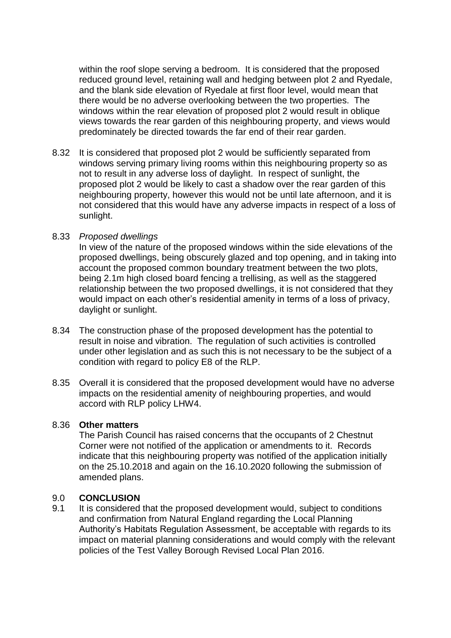within the roof slope serving a bedroom. It is considered that the proposed reduced ground level, retaining wall and hedging between plot 2 and Ryedale, and the blank side elevation of Ryedale at first floor level, would mean that there would be no adverse overlooking between the two properties. The windows within the rear elevation of proposed plot 2 would result in oblique views towards the rear garden of this neighbouring property, and views would predominately be directed towards the far end of their rear garden.

8.32 It is considered that proposed plot 2 would be sufficiently separated from windows serving primary living rooms within this neighbouring property so as not to result in any adverse loss of daylight. In respect of sunlight, the proposed plot 2 would be likely to cast a shadow over the rear garden of this neighbouring property, however this would not be until late afternoon, and it is not considered that this would have any adverse impacts in respect of a loss of sunlight.

### 8.33 *Proposed dwellings*

In view of the nature of the proposed windows within the side elevations of the proposed dwellings, being obscurely glazed and top opening, and in taking into account the proposed common boundary treatment between the two plots, being 2.1m high closed board fencing a trellising, as well as the staggered relationship between the two proposed dwellings, it is not considered that they would impact on each other's residential amenity in terms of a loss of privacy, daylight or sunlight.

- 8.34 The construction phase of the proposed development has the potential to result in noise and vibration. The regulation of such activities is controlled under other legislation and as such this is not necessary to be the subject of a condition with regard to policy E8 of the RLP.
- 8.35 Overall it is considered that the proposed development would have no adverse impacts on the residential amenity of neighbouring properties, and would accord with RLP policy LHW4.

### 8.36 **Other matters**

The Parish Council has raised concerns that the occupants of 2 Chestnut Corner were not notified of the application or amendments to it. Records indicate that this neighbouring property was notified of the application initially on the 25.10.2018 and again on the 16.10.2020 following the submission of amended plans.

### 9.0 **CONCLUSION**

9.1 It is considered that the proposed development would, subject to conditions and confirmation from Natural England regarding the Local Planning Authority's Habitats Regulation Assessment, be acceptable with regards to its impact on material planning considerations and would comply with the relevant policies of the Test Valley Borough Revised Local Plan 2016.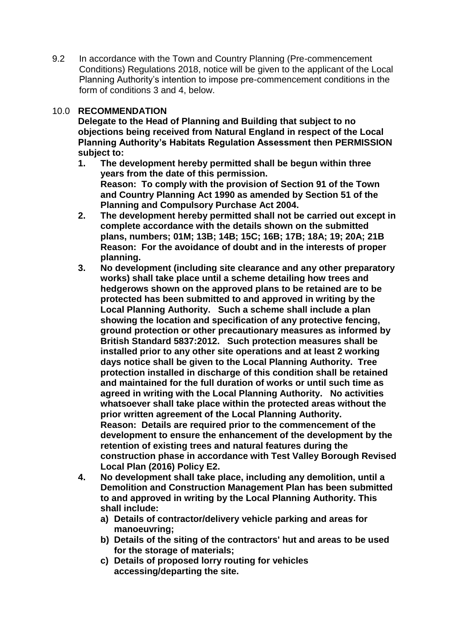9.2 In accordance with the Town and Country Planning (Pre-commencement Conditions) Regulations 2018, notice will be given to the applicant of the Local Planning Authority's intention to impose pre-commencement conditions in the form of conditions 3 and 4, below.

## 10.0 **RECOMMENDATION**

**Delegate to the Head of Planning and Building that subject to no objections being received from Natural England in respect of the Local Planning Authority's Habitats Regulation Assessment then PERMISSION subject to:**

- **1. The development hereby permitted shall be begun within three years from the date of this permission. Reason: To comply with the provision of Section 91 of the Town and Country Planning Act 1990 as amended by Section 51 of the Planning and Compulsory Purchase Act 2004.**
- **2. The development hereby permitted shall not be carried out except in complete accordance with the details shown on the submitted plans, numbers; 01M; 13B; 14B; 15C; 16B; 17B; 18A; 19; 20A; 21B Reason: For the avoidance of doubt and in the interests of proper planning.**
- **3. No development (including site clearance and any other preparatory works) shall take place until a scheme detailing how trees and hedgerows shown on the approved plans to be retained are to be protected has been submitted to and approved in writing by the Local Planning Authority. Such a scheme shall include a plan showing the location and specification of any protective fencing, ground protection or other precautionary measures as informed by British Standard 5837:2012. Such protection measures shall be installed prior to any other site operations and at least 2 working days notice shall be given to the Local Planning Authority. Tree protection installed in discharge of this condition shall be retained and maintained for the full duration of works or until such time as agreed in writing with the Local Planning Authority. No activities whatsoever shall take place within the protected areas without the prior written agreement of the Local Planning Authority. Reason: Details are required prior to the commencement of the development to ensure the enhancement of the development by the retention of existing trees and natural features during the construction phase in accordance with Test Valley Borough Revised Local Plan (2016) Policy E2.**
- **4. No development shall take place, including any demolition, until a Demolition and Construction Management Plan has been submitted to and approved in writing by the Local Planning Authority. This shall include:** 
	- **a) Details of contractor/delivery vehicle parking and areas for manoeuvring;**
	- **b) Details of the siting of the contractors' hut and areas to be used for the storage of materials;**
	- **c) Details of proposed lorry routing for vehicles accessing/departing the site.**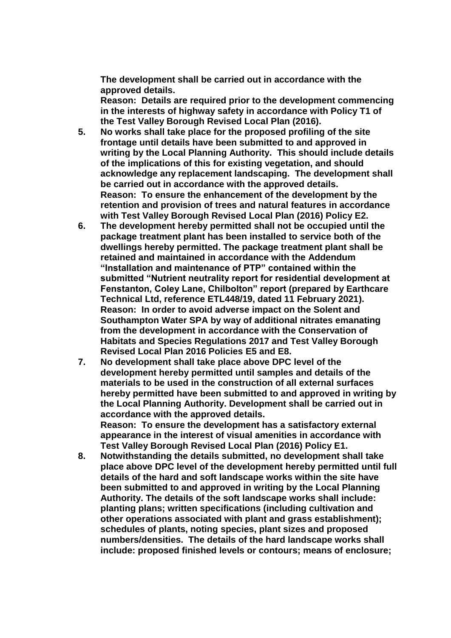**The development shall be carried out in accordance with the approved details.**

**Reason: Details are required prior to the development commencing in the interests of highway safety in accordance with Policy T1 of the Test Valley Borough Revised Local Plan (2016).**

- **5. No works shall take place for the proposed profiling of the site frontage until details have been submitted to and approved in writing by the Local Planning Authority. This should include details of the implications of this for existing vegetation, and should acknowledge any replacement landscaping. The development shall be carried out in accordance with the approved details. Reason: To ensure the enhancement of the development by the retention and provision of trees and natural features in accordance with Test Valley Borough Revised Local Plan (2016) Policy E2.**
- **6. The development hereby permitted shall not be occupied until the package treatment plant has been installed to service both of the dwellings hereby permitted. The package treatment plant shall be retained and maintained in accordance with the Addendum "Installation and maintenance of PTP" contained within the submitted "Nutrient neutrality report for residential development at Fenstanton, Coley Lane, Chilbolton" report (prepared by Earthcare Technical Ltd, reference ETL448/19, dated 11 February 2021). Reason: In order to avoid adverse impact on the Solent and Southampton Water SPA by way of additional nitrates emanating from the development in accordance with the Conservation of Habitats and Species Regulations 2017 and Test Valley Borough Revised Local Plan 2016 Policies E5 and E8.**
- **7. No development shall take place above DPC level of the development hereby permitted until samples and details of the materials to be used in the construction of all external surfaces hereby permitted have been submitted to and approved in writing by the Local Planning Authority. Development shall be carried out in accordance with the approved details. Reason: To ensure the development has a satisfactory external appearance in the interest of visual amenities in accordance with**
- **Test Valley Borough Revised Local Plan (2016) Policy E1. 8. Notwithstanding the details submitted, no development shall take place above DPC level of the development hereby permitted until full details of the hard and soft landscape works within the site have been submitted to and approved in writing by the Local Planning Authority. The details of the soft landscape works shall include: planting plans; written specifications (including cultivation and other operations associated with plant and grass establishment); schedules of plants, noting species, plant sizes and proposed numbers/densities. The details of the hard landscape works shall include: proposed finished levels or contours; means of enclosure;**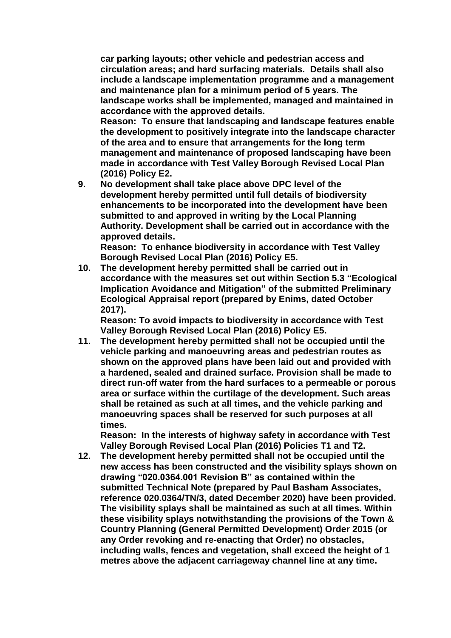**car parking layouts; other vehicle and pedestrian access and circulation areas; and hard surfacing materials. Details shall also include a landscape implementation programme and a management and maintenance plan for a minimum period of 5 years. The landscape works shall be implemented, managed and maintained in accordance with the approved details.**

**Reason: To ensure that landscaping and landscape features enable the development to positively integrate into the landscape character of the area and to ensure that arrangements for the long term management and maintenance of proposed landscaping have been made in accordance with Test Valley Borough Revised Local Plan (2016) Policy E2.**

**9. No development shall take place above DPC level of the development hereby permitted until full details of biodiversity enhancements to be incorporated into the development have been submitted to and approved in writing by the Local Planning Authority. Development shall be carried out in accordance with the approved details.** 

**Reason: To enhance biodiversity in accordance with Test Valley Borough Revised Local Plan (2016) Policy E5.**

**10. The development hereby permitted shall be carried out in accordance with the measures set out within Section 5.3 "Ecological Implication Avoidance and Mitigation" of the submitted Preliminary Ecological Appraisal report (prepared by Enims, dated October 2017).** 

**Reason: To avoid impacts to biodiversity in accordance with Test Valley Borough Revised Local Plan (2016) Policy E5.**

**11. The development hereby permitted shall not be occupied until the vehicle parking and manoeuvring areas and pedestrian routes as shown on the approved plans have been laid out and provided with a hardened, sealed and drained surface. Provision shall be made to direct run-off water from the hard surfaces to a permeable or porous area or surface within the curtilage of the development. Such areas shall be retained as such at all times, and the vehicle parking and manoeuvring spaces shall be reserved for such purposes at all times.**

**Reason: In the interests of highway safety in accordance with Test Valley Borough Revised Local Plan (2016) Policies T1 and T2.**

**12. The development hereby permitted shall not be occupied until the new access has been constructed and the visibility splays shown on drawing "020.0364.001 Revision B" as contained within the submitted Technical Note (prepared by Paul Basham Associates, reference 020.0364/TN/3, dated December 2020) have been provided. The visibility splays shall be maintained as such at all times. Within these visibility splays notwithstanding the provisions of the Town & Country Planning (General Permitted Development) Order 2015 (or any Order revoking and re-enacting that Order) no obstacles, including walls, fences and vegetation, shall exceed the height of 1 metres above the adjacent carriageway channel line at any time.**